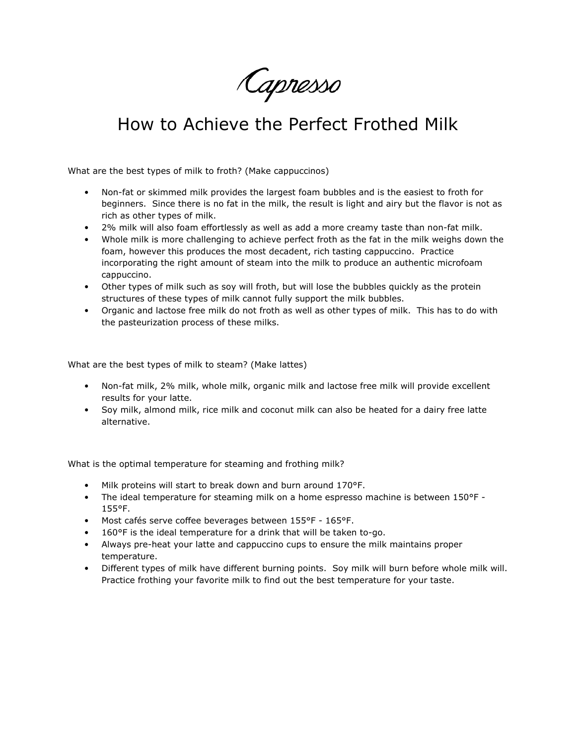Capresso

## How to Achieve the Perfect Frothed Milk

What are the best types of milk to froth? (Make cappuccinos)

- Non-fat or skimmed milk provides the largest foam bubbles and is the easiest to froth for beginners. Since there is no fat in the milk, the result is light and airy but the flavor is not as rich as other types of milk.
- 2% milk will also foam effortlessly as well as add a more creamy taste than non-fat milk.
- Whole milk is more challenging to achieve perfect froth as the fat in the milk weighs down the foam, however this produces the most decadent, rich tasting cappuccino. Practice incorporating the right amount of steam into the milk to produce an authentic microfoam cappuccino.
- Other types of milk such as soy will froth, but will lose the bubbles quickly as the protein structures of these types of milk cannot fully support the milk bubbles.
- Organic and lactose free milk do not froth as well as other types of milk. This has to do with the pasteurization process of these milks.

What are the best types of milk to steam? (Make lattes)

- Non-fat milk, 2% milk, whole milk, organic milk and lactose free milk will provide excellent results for your latte.
- Soy milk, almond milk, rice milk and coconut milk can also be heated for a dairy free latte alternative.

What is the optimal temperature for steaming and frothing milk?

- Milk proteins will start to break down and burn around 170°F.
- The ideal temperature for steaming milk on a home espresso machine is between 150°F 155°F.
- Most cafés serve coffee beverages between 155°F 165°F.
- 160°F is the ideal temperature for a drink that will be taken to-go.
- Always pre-heat your latte and cappuccino cups to ensure the milk maintains proper temperature.
- Different types of milk have different burning points. Soy milk will burn before whole milk will. Practice frothing your favorite milk to find out the best temperature for your taste.